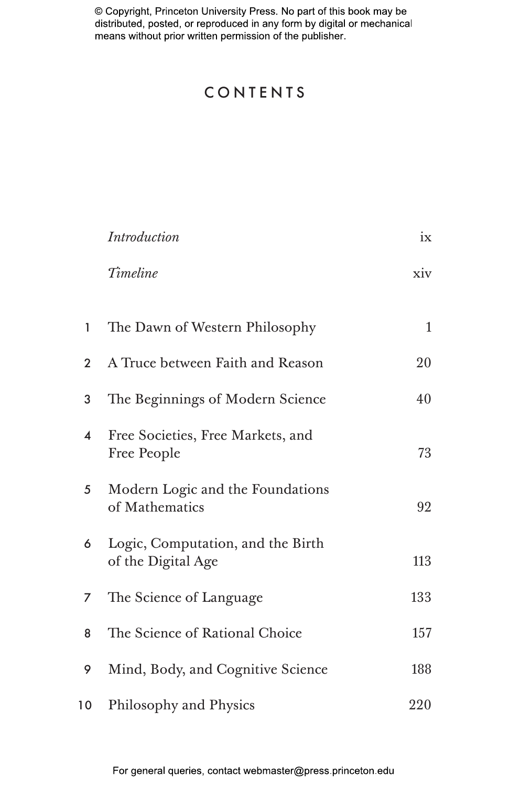# CONTENTS

|                | Introduction                                            | ix  |
|----------------|---------------------------------------------------------|-----|
|                | Timeline                                                | xiv |
| 1              | The Dawn of Western Philosophy                          | 1   |
| $\overline{2}$ | A Truce between Faith and Reason                        | 20  |
| 3              | The Beginnings of Modern Science                        | 40  |
| 4              | Free Societies, Free Markets, and<br>Free People        | 73  |
| 5              | Modern Logic and the Foundations<br>of Mathematics      | 92  |
| 6              | Logic, Computation, and the Birth<br>of the Digital Age | 113 |
| 7              | The Science of Language                                 | 133 |
| 8              | The Science of Rational Choice                          | 157 |
| 9              | Mind, Body, and Cognitive Science                       | 188 |
| 10             | Philosophy and Physics                                  | 220 |

For general queries, contact webmaster@press.princeton.edu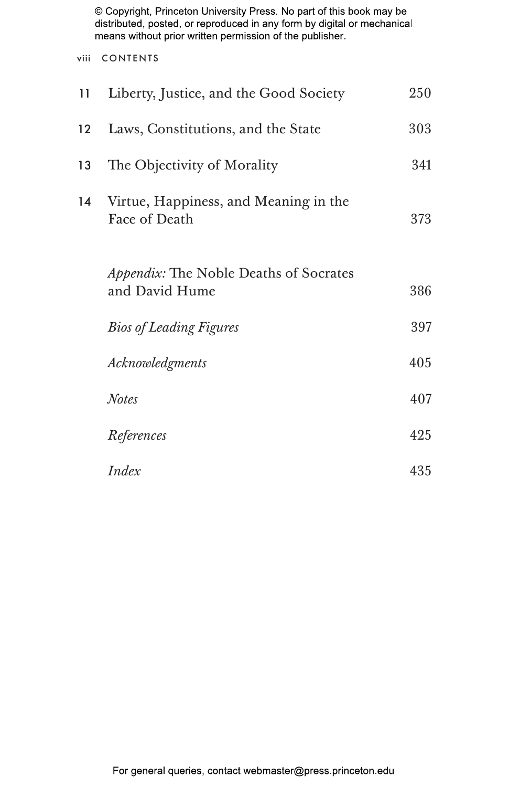viii CONTENTS

| 11                | Liberty, Justice, and the Good Society                          | 250 |
|-------------------|-----------------------------------------------------------------|-----|
| $12 \overline{ }$ | Laws, Constitutions, and the State                              | 303 |
| 13                | The Objectivity of Morality                                     | 341 |
| 14                | Virtue, Happiness, and Meaning in the<br>Face of Death          | 373 |
|                   | <i>Appendix:</i> The Noble Deaths of Socrates<br>and David Hume | 386 |
|                   | <b>Bios of Leading Figures</b>                                  | 397 |
|                   | Acknowledgments                                                 | 405 |
|                   | <b>Notes</b>                                                    | 407 |
|                   | References                                                      | 425 |
|                   | <b>Index</b>                                                    | 435 |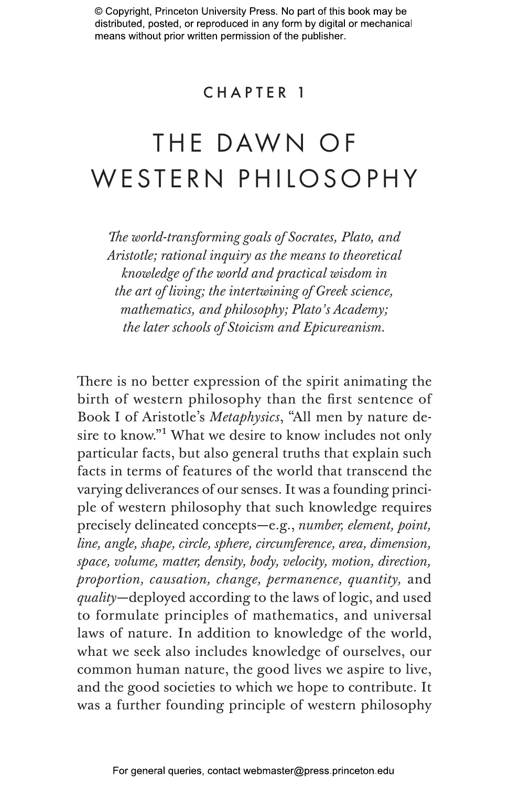# CHAPTER 1

# THE DAWN OF WESTERN PHILOSOPHY

*The world-transforming goals of Socrates, Plato, and Aristotle; rational inquiry as the means to theoretical knowledge of the world and practical wisdom in the art of living; the intertwining of Greek science, mathematics, and philosophy; Plato's Academy; the later schools of Stoicism and Epicureanism.*

There is no better expression of the spirit animating the birth of western philosophy than the first sentence of Book I of Aristotle's *Metaphysics*, "All men by nature desire to know."<sup>1</sup> What we desire to know includes not only particular facts, but also general truths that explain such facts in terms of features of the world that transcend the varying deliverances of our senses. It was a founding principle of western philosophy that such knowledge requires precisely delineated concepts—e.g., *number, element, point, line, angle, shape, circle, sphere, circumference, area, dimension, space, volume, matter, density, body, velocity, motion, direction, proportion, causation, change, permanence, quantity,* and *quality—*deployed according to the laws of logic, and used to formulate principles of mathematics, and universal laws of nature. In addition to knowledge of the world, what we seek also includes knowledge of ourselves, our common human nature, the good lives we aspire to live, and the good societies to which we hope to contribute. It was a further founding principle of western philosophy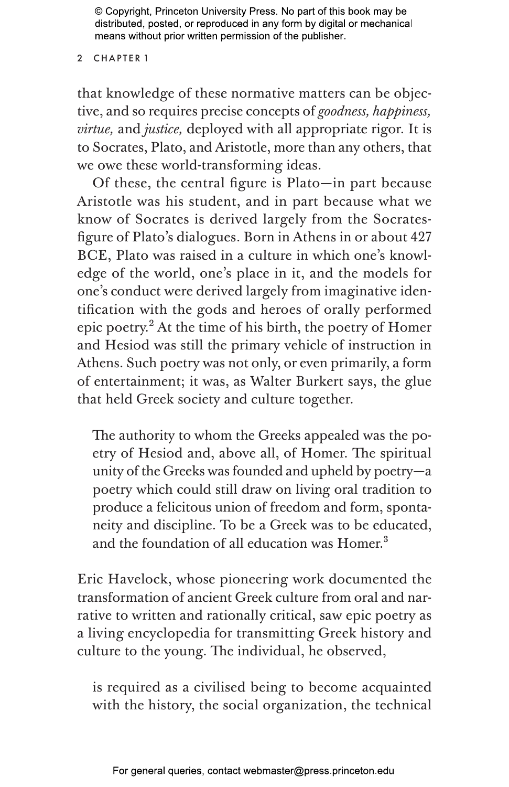2 Chapter 1

that knowledge of these normative matters can be objective, and so requires precise concepts of *goodness, happiness, virtue,* and *justice,* deployed with all appropriate rigor. It is to Socrates, Plato, and Aristotle, more than any others, that we owe these world-transforming ideas.

Of these, the central figure is Plato—in part because Aristotle was his student, and in part because what we know of Socrates is derived largely from the Socratesfigure of Plato's dialogues. Born in Athens in or about 427 BCE, Plato was raised in a culture in which one's knowledge of the world, one's place in it, and the models for one's conduct were derived largely from imaginative identification with the gods and heroes of orally performed epic poetry.2 At the time of his birth, the poetry of Homer and Hesiod was still the primary vehicle of instruction in Athens. Such poetry was not only, or even primarily, a form of entertainment; it was, as Walter Burkert says, the glue that held Greek society and culture together.

The authority to whom the Greeks appealed was the poetry of Hesiod and, above all, of Homer. The spiritual unity of the Greeks was founded and upheld by poetry—a poetry which could still draw on living oral tradition to produce a felicitous union of freedom and form, spontaneity and discipline. To be a Greek was to be educated, and the foundation of all education was Homer.<sup>3</sup>

Eric Havelock, whose pioneering work documented the transformation of ancient Greek culture from oral and narrative to written and rationally critical, saw epic poetry as a living encyclopedia for transmitting Greek history and culture to the young. The individual, he observed,

is required as a civilised being to become acquainted with the history, the social organization, the technical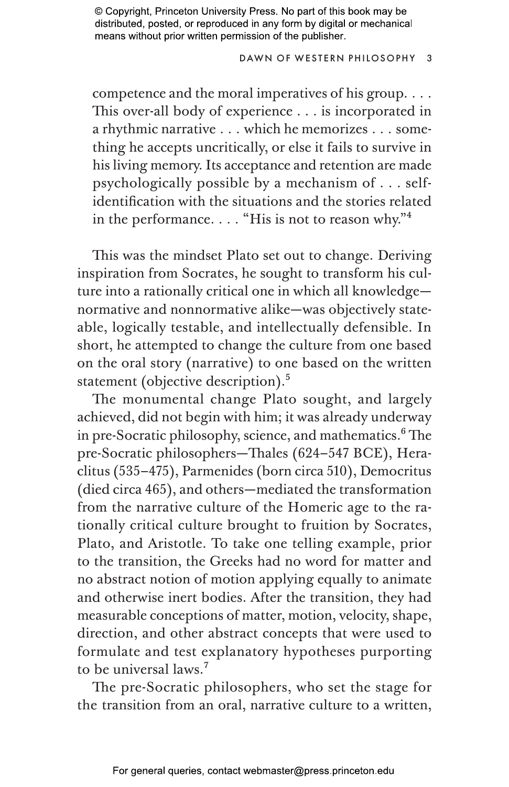## Dawn of Western Philosophy 3

competence and the moral imperatives of his group. . . . This over-all body of experience . . . is incorporated in a rhythmic narrative . . . which he memorizes . . . something he accepts uncritically, or else it fails to survive in his living memory. Its acceptance and retention are made psychologically possible by a mechanism of . . . selfidentification with the situations and the stories related in the performance. . . . "His is not to reason why."4

This was the mindset Plato set out to change. Deriving inspiration from Socrates, he sought to transform his culture into a rationally critical one in which all knowledge normative and nonnormative alike—was objectively stateable, logically testable, and intellectually defensible. In short, he attempted to change the culture from one based on the oral story (narrative) to one based on the written statement (objective description).<sup>5</sup>

The monumental change Plato sought, and largely achieved, did not begin with him; it was already underway in pre-Socratic philosophy, science, and mathematics.<sup>6</sup> The pre-Socratic philosophers—Thales (624–547 BCE), Heraclitus (535–475), Parmenides (born circa 510), Democritus (died circa 465), and others—mediated the transformation from the narrative culture of the Homeric age to the rationally critical culture brought to fruition by Socrates, Plato, and Aristotle. To take one telling example, prior to the transition, the Greeks had no word for matter and no abstract notion of motion applying equally to animate and otherwise inert bodies. After the transition, they had measurable conceptions of matter, motion, velocity, shape, direction, and other abstract concepts that were used to formulate and test explanatory hypotheses purporting to be universal laws.<sup>7</sup>

The pre-Socratic philosophers, who set the stage for the transition from an oral, narrative culture to a written,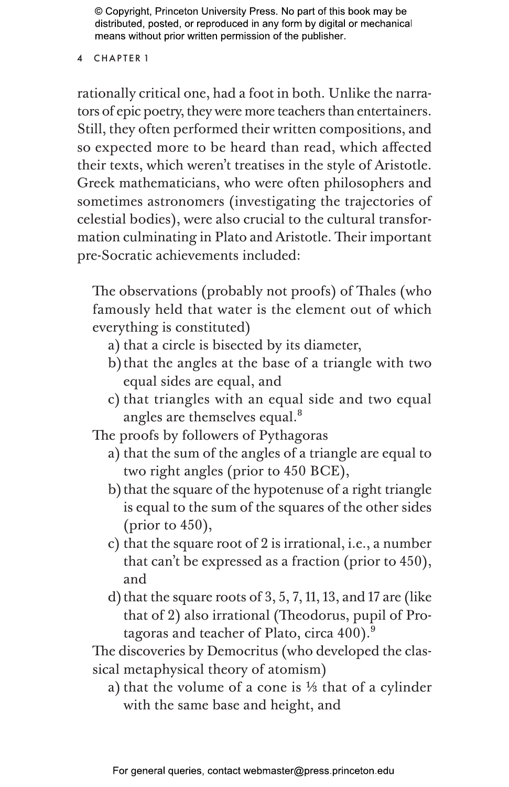4 Chapter 1

rationally critical one, had a foot in both. Unlike the narrators of epic poetry, they were more teachers than entertainers. Still, they often performed their written compositions, and so expected more to be heard than read, which affected their texts, which weren't treatises in the style of Aristotle. Greek mathematicians, who were often philosophers and sometimes astronomers (investigating the trajectories of celestial bodies), were also crucial to the cultural transformation culminating in Plato and Aristotle. Their important pre-Socratic achievements included:

The observations (probably not proofs) of Thales (who famously held that water is the element out of which everything is constituted)

- a) that a circle is bisected by its diameter,
- b)that the angles at the base of a triangle with two equal sides are equal, and
- c) that triangles with an equal side and two equal angles are themselves equal.<sup>8</sup>

The proofs by followers of Pythagoras

- a) that the sum of the angles of a triangle are equal to two right angles (prior to 450 BCE),
- b) that the square of the hypotenuse of a right triangle is equal to the sum of the squares of the other sides (prior to 450),
- c) that the square root of 2 is irrational, i.e., a number that can't be expressed as a fraction (prior to 450), and
- d) that the square roots of 3, 5, 7, 11, 13, and 17 are (like that of 2) also irrational (Theodorus, pupil of Protagoras and teacher of Plato, circa  $400$ ).<sup>9</sup>

The discoveries by Democritus (who developed the classical metaphysical theory of atomism)

a) that the volume of a cone is ⅓ that of a cylinder with the same base and height, and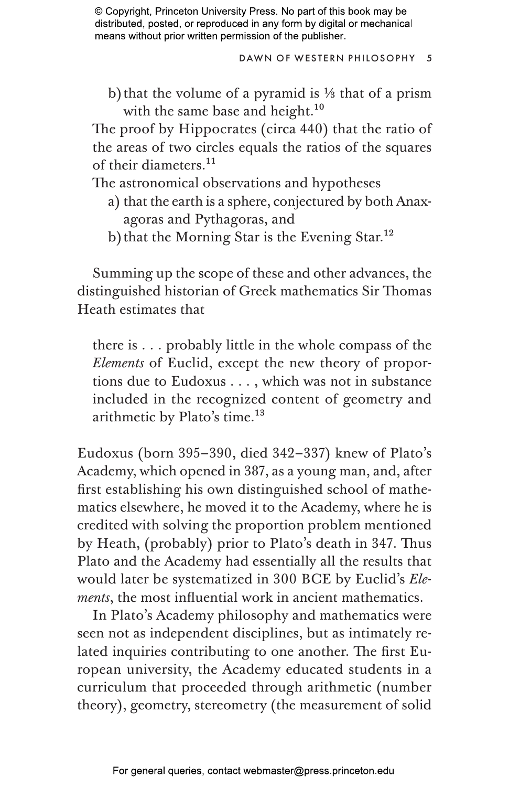DAWN OF WESTERN PHILOSOPHY 5

b)that the volume of a pyramid is ⅓ that of a prism with the same base and height.<sup>10</sup>

The proof by Hippocrates (circa 440) that the ratio of the areas of two circles equals the ratios of the squares of their diameters.<sup>11</sup>

The astronomical observations and hypotheses

- a) that the earth is a sphere, conjectured by both Anaxagoras and Pythagoras, and
- b) that the Morning Star is the Evening Star.<sup>12</sup>

Summing up the scope of these and other advances, the distinguished historian of Greek mathematics Sir Thomas Heath estimates that

there is . . . probably little in the whole compass of the *Elements* of Euclid, except the new theory of proportions due to Eudoxus . . . , which was not in substance included in the recognized content of geometry and arithmetic by Plato's time.<sup>13</sup>

Eudoxus (born 395–390, died 342–337) knew of Plato's Academy, which opened in 387, as a young man, and, after first establishing his own distinguished school of mathematics elsewhere, he moved it to the Academy, where he is credited with solving the proportion problem mentioned by Heath, (probably) prior to Plato's death in 347. Thus Plato and the Academy had essentially all the results that would later be systematized in 300 BCE by Euclid's *Elements*, the most influential work in ancient mathematics.

In Plato's Academy philosophy and mathematics were seen not as independent disciplines, but as intimately related inquiries contributing to one another. The first European university, the Academy educated students in a curriculum that proceeded through arithmetic (number theory), geometry, stereometry (the measurement of solid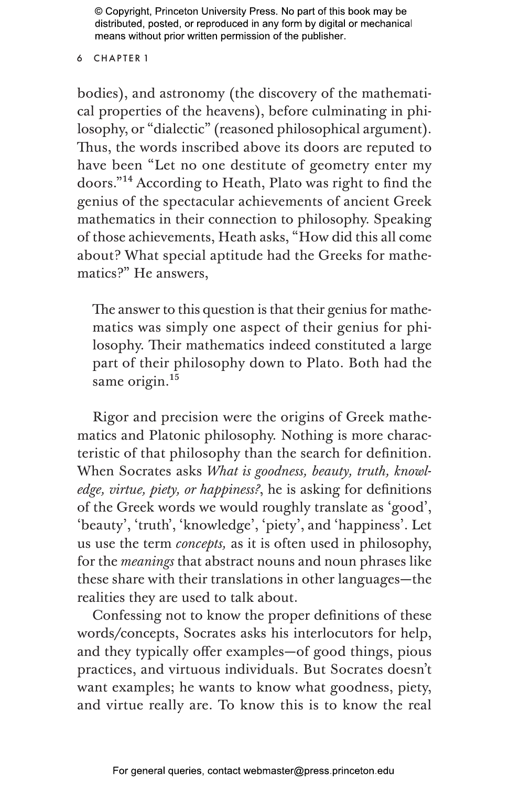6 Chapter 1

bodies), and astronomy (the discovery of the mathematical properties of the heavens), before culminating in philosophy, or "dialectic" (reasoned philosophical argument). Thus, the words inscribed above its doors are reputed to have been "Let no one destitute of geometry enter my doors."14 According to Heath, Plato was right to find the genius of the spectacular achievements of ancient Greek mathematics in their connection to philosophy. Speaking of those achievements, Heath asks, "How did this all come about? What special aptitude had the Greeks for mathematics?" He answers,

The answer to this question is that their genius for mathematics was simply one aspect of their genius for philosophy. Their mathematics indeed constituted a large part of their philosophy down to Plato. Both had the same origin.<sup>15</sup>

Rigor and precision were the origins of Greek mathematics and Platonic philosophy. Nothing is more characteristic of that philosophy than the search for definition. When Socrates asks *What is goodness, beauty, truth, knowledge, virtue, piety, or happiness?*, he is asking for definitions of the Greek words we would roughly translate as 'good', 'beauty', 'truth', 'knowledge', 'piety', and 'happiness'. Let us use the term *concepts,* as it is often used in philosophy, for the *meanings* that abstract nouns and noun phrases like these share with their translations in other languages—the realities they are used to talk about.

Confessing not to know the proper definitions of these words/concepts, Socrates asks his interlocutors for help, and they typically offer examples—of good things, pious practices, and virtuous individuals. But Socrates doesn't want examples; he wants to know what goodness, piety, and virtue really are. To know this is to know the real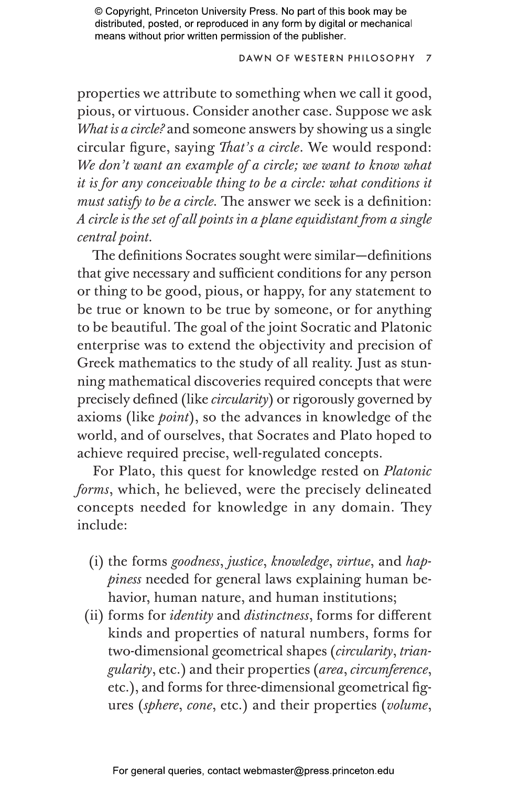#### Dawn of Western Philosophy 7

properties we attribute to something when we call it good, pious, or virtuous. Consider another case. Suppose we ask *What is a circle?* and someone answers by showing us a single circular figure, saying *That's a circle*. We would respond: *We don't want an example of a circle; we want to know what it is for any conceivable thing to be a circle: what conditions it must satisfy to be a circle.* The answer we seek is a definition: *A circle is the set of all points in a plane equidistant from a single central point.*

The definitions Socrates sought were similar—definitions that give necessary and sufficient conditions for any person or thing to be good, pious, or happy, for any statement to be true or known to be true by someone, or for anything to be beautiful. The goal of the joint Socratic and Platonic enterprise was to extend the objectivity and precision of Greek mathematics to the study of all reality. Just as stunning mathematical discoveries required concepts that were precisely defined (like *circularity*) or rigorously governed by axioms (like *point*), so the advances in knowledge of the world, and of ourselves, that Socrates and Plato hoped to achieve required precise, well-regulated concepts.

For Plato, this quest for knowledge rested on *Platonic forms*, which, he believed, were the precisely delineated concepts needed for knowledge in any domain. They include:

- (i) the forms *goodness*, *justice*, *knowledge*, *virtue*, and *happiness* needed for general laws explaining human behavior, human nature, and human institutions;
- (ii) forms for *identity* and *distinctness*, forms for different kinds and properties of natural numbers, forms for two-dimensional geometrical shapes (*circularity*, *triangularity*, etc.) and their properties (*area*, *circumference*, etc.), and forms for three-dimensional geometrical figures (*sphere*, *cone*, etc.) and their properties (*volume*,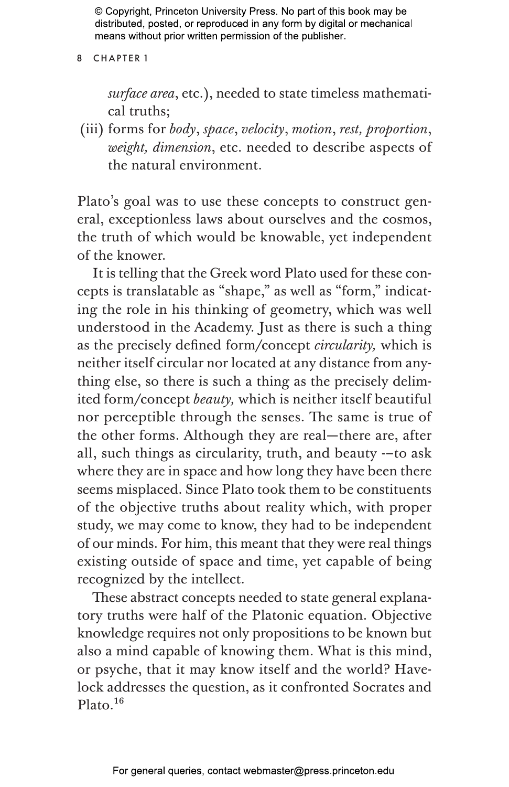8 Chapter 1

*surface area*, etc.), needed to state timeless mathematical truths;

(iii) forms for *body*, *space*, *velocity*, *motion*, *rest, proportion*, *weight, dimension*, etc. needed to describe aspects of the natural environment.

Plato's goal was to use these concepts to construct general, exceptionless laws about ourselves and the cosmos, the truth of which would be knowable, yet independent of the knower.

It is telling that the Greek word Plato used for these concepts is translatable as "shape," as well as "form," indicating the role in his thinking of geometry, which was well understood in the Academy. Just as there is such a thing as the precisely defined form/concept *circularity,* which is neither itself circular nor located at any distance from anything else, so there is such a thing as the precisely delimited form/concept *beauty,* which is neither itself beautiful nor perceptible through the senses. The same is true of the other forms. Although they are real—there are, after all, such things as circularity, truth, and beauty -–to ask where they are in space and how long they have been there seems misplaced. Since Plato took them to be constituents of the objective truths about reality which, with proper study, we may come to know, they had to be independent of our minds. For him, this meant that they were real things existing outside of space and time, yet capable of being recognized by the intellect.

These abstract concepts needed to state general explanatory truths were half of the Platonic equation. Objective knowledge requires not only propositions to be known but also a mind capable of knowing them. What is this mind, or psyche, that it may know itself and the world? Havelock addresses the question, as it confronted Socrates and Plato.16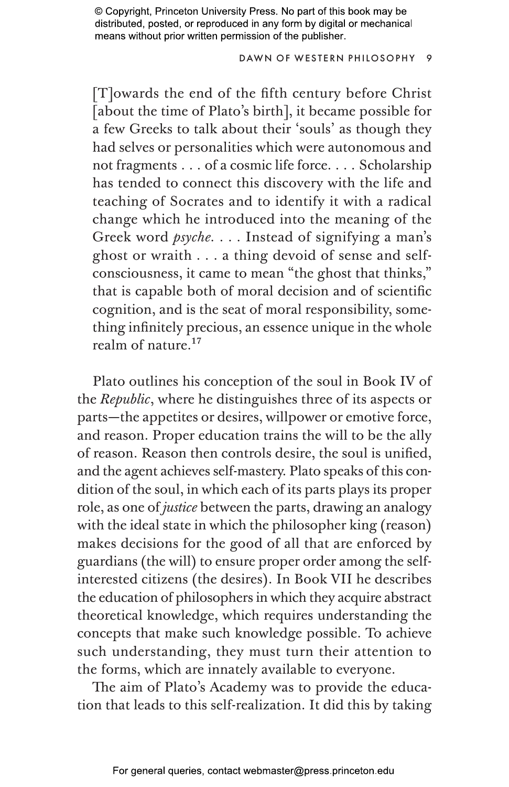### DAWN OF WESTERN PHILOSOPHY 9

[T]owards the end of the fifth century before Christ [about the time of Plato's birth], it became possible for a few Greeks to talk about their 'souls' as though they had selves or personalities which were autonomous and not fragments . . . of a cosmic life force. . . . Scholarship has tended to connect this discovery with the life and teaching of Socrates and to identify it with a radical change which he introduced into the meaning of the Greek word *psyche.* . . . Instead of signifying a man's ghost or wraith . . . a thing devoid of sense and selfconsciousness, it came to mean "the ghost that thinks," that is capable both of moral decision and of scientific cognition, and is the seat of moral responsibility, something infinitely precious, an essence unique in the whole realm of nature.<sup>17</sup>

Plato outlines his conception of the soul in Book IV of the *Republic*, where he distinguishes three of its aspects or parts—the appetites or desires, willpower or emotive force, and reason. Proper education trains the will to be the ally of reason. Reason then controls desire, the soul is unified, and the agent achieves self-mastery. Plato speaks of this condition of the soul, in which each of its parts plays its proper role, as one of *justice* between the parts, drawing an analogy with the ideal state in which the philosopher king (reason) makes decisions for the good of all that are enforced by guardians (the will) to ensure proper order among the selfinterested citizens (the desires). In Book VII he describes the education of philosophers in which they acquire abstract theoretical knowledge, which requires understanding the concepts that make such knowledge possible. To achieve such understanding, they must turn their attention to the forms, which are innately available to everyone.

The aim of Plato's Academy was to provide the education that leads to this self-realization. It did this by taking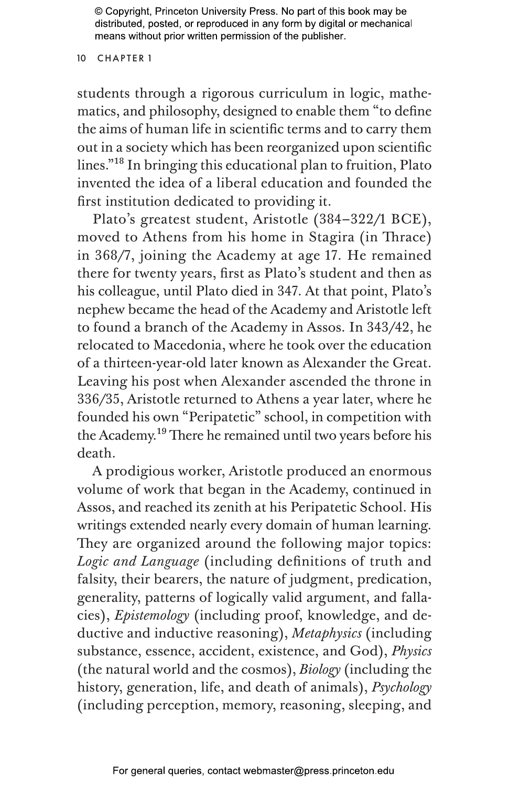```
10 Chapter 1
```
students through a rigorous curriculum in logic, mathematics, and philosophy, designed to enable them "to define the aims of human life in scientific terms and to carry them out in a society which has been reorganized upon scientific lines."18 In bringing this educational plan to fruition, Plato invented the idea of a liberal education and founded the first institution dedicated to providing it.

Plato's greatest student, Aristotle (384–322/1 BCE), moved to Athens from his home in Stagira (in Thrace) in 368/7, joining the Academy at age 17. He remained there for twenty years, first as Plato's student and then as his colleague, until Plato died in 347. At that point, Plato's nephew became the head of the Academy and Aristotle left to found a branch of the Academy in Assos. In 343/42, he relocated to Macedonia, where he took over the education of a thirteen-year-old later known as Alexander the Great. Leaving his post when Alexander ascended the throne in 336/35, Aristotle returned to Athens a year later, where he founded his own "Peripatetic" school, in competition with the Academy.<sup>19</sup> There he remained until two years before his death.

A prodigious worker, Aristotle produced an enormous volume of work that began in the Academy, continued in Assos, and reached its zenith at his Peripatetic School. His writings extended nearly every domain of human learning. They are organized around the following major topics: *Logic and Language* (including definitions of truth and falsity, their bearers, the nature of judgment, predication, generality, patterns of logically valid argument, and fallacies), *Epistemology* (including proof, knowledge, and deductive and inductive reasoning), *Metaphysics* (including substance, essence, accident, existence, and God), *Physics* (the natural world and the cosmos), *Biology* (including the history, generation, life, and death of animals), *Psychology* (including perception, memory, reasoning, sleeping, and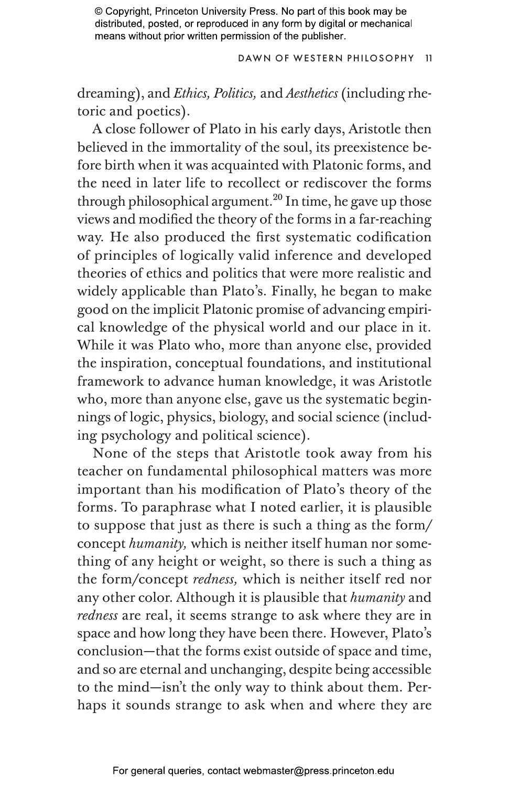## Dawn of Western Philosophy 11

dreaming), and *Ethics, Politics,* and *Aesthetics* (including rhetoric and poetics).

A close follower of Plato in his early days, Aristotle then believed in the immortality of the soul, its preexistence before birth when it was acquainted with Platonic forms, and the need in later life to recollect or rediscover the forms through philosophical argument.<sup>20</sup> In time, he gave up those views and modified the theory of the forms in a far-reaching way. He also produced the first systematic codification of principles of logically valid inference and developed theories of ethics and politics that were more realistic and widely applicable than Plato's. Finally, he began to make good on the implicit Platonic promise of advancing empirical knowledge of the physical world and our place in it. While it was Plato who, more than anyone else, provided the inspiration, conceptual foundations, and institutional framework to advance human knowledge, it was Aristotle who, more than anyone else, gave us the systematic beginnings of logic, physics, biology, and social science (including psychology and political science).

None of the steps that Aristotle took away from his teacher on fundamental philosophical matters was more important than his modification of Plato's theory of the forms. To paraphrase what I noted earlier, it is plausible to suppose that just as there is such a thing as the form/ concept *humanity,* which is neither itself human nor something of any height or weight, so there is such a thing as the form/concept *redness,* which is neither itself red nor any other color. Although it is plausible that *humanity* and *redness* are real, it seems strange to ask where they are in space and how long they have been there. However, Plato's conclusion—that the forms exist outside of space and time, and so are eternal and unchanging, despite being accessible to the mind—isn't the only way to think about them. Perhaps it sounds strange to ask when and where they are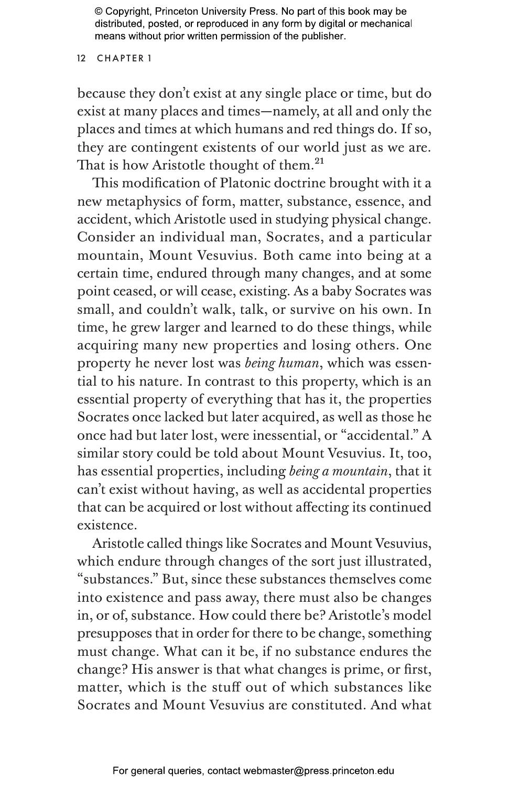12 Chapter 1

because they don't exist at any single place or time, but do exist at many places and times—namely, at all and only the places and times at which humans and red things do. If so, they are contingent existents of our world just as we are. That is how Aristotle thought of them.<sup>21</sup>

This modification of Platonic doctrine brought with it a new metaphysics of form, matter, substance, essence, and accident, which Aristotle used in studying physical change. Consider an individual man, Socrates, and a particular mountain, Mount Vesuvius. Both came into being at a certain time, endured through many changes, and at some point ceased, or will cease, existing. As a baby Socrates was small, and couldn't walk, talk, or survive on his own. In time, he grew larger and learned to do these things, while acquiring many new properties and losing others. One property he never lost was *being human*, which was essential to his nature. In contrast to this property, which is an essential property of everything that has it, the properties Socrates once lacked but later acquired, as well as those he once had but later lost, were inessential, or "accidental." A similar story could be told about Mount Vesuvius. It, too, has essential properties, including *being a mountain*, that it can't exist without having, as well as accidental properties that can be acquired or lost without affecting its continued existence.

Aristotle called things like Socrates and Mount Vesuvius, which endure through changes of the sort just illustrated, "substances." But, since these substances themselves come into existence and pass away, there must also be changes in, or of, substance. How could there be? Aristotle's model presupposes that in order for there to be change, something must change. What can it be, if no substance endures the change? His answer is that what changes is prime, or first, matter, which is the stuff out of which substances like Socrates and Mount Vesuvius are constituted. And what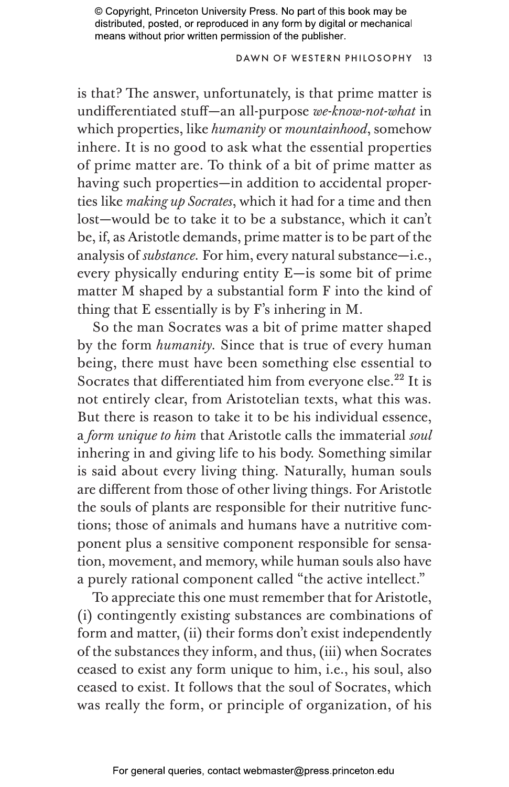#### Dawn of Western Philosophy 13

is that? The answer, unfortunately, is that prime matter is undifferentiated stuff—an all-purpose *we-know-not-what* in which properties, like *humanity* or *mountainhood*, somehow inhere. It is no good to ask what the essential properties of prime matter are. To think of a bit of prime matter as having such properties—in addition to accidental properties like *making up Socrates*, which it had for a time and then lost—would be to take it to be a substance, which it can't be, if, as Aristotle demands, prime matter is to be part of the analysis of *substance.* For him, every natural substance—i.e., every physically enduring entity E—is some bit of prime matter M shaped by a substantial form F into the kind of thing that E essentially is by F's inhering in M.

So the man Socrates was a bit of prime matter shaped by the form *humanity.* Since that is true of every human being, there must have been something else essential to Socrates that differentiated him from everyone else.<sup>22</sup> It is not entirely clear, from Aristotelian texts, what this was. But there is reason to take it to be his individual essence, a *form unique to him* that Aristotle calls the immaterial *soul* inhering in and giving life to his body. Something similar is said about every living thing. Naturally, human souls are different from those of other living things. For Aristotle the souls of plants are responsible for their nutritive functions; those of animals and humans have a nutritive component plus a sensitive component responsible for sensation, movement, and memory, while human souls also have a purely rational component called "the active intellect."

To appreciate this one must remember that for Aristotle, (i) contingently existing substances are combinations of form and matter, (ii) their forms don't exist independently of the substances they inform, and thus, (iii) when Socrates ceased to exist any form unique to him, i.e., his soul, also ceased to exist. It follows that the soul of Socrates, which was really the form, or principle of organization, of his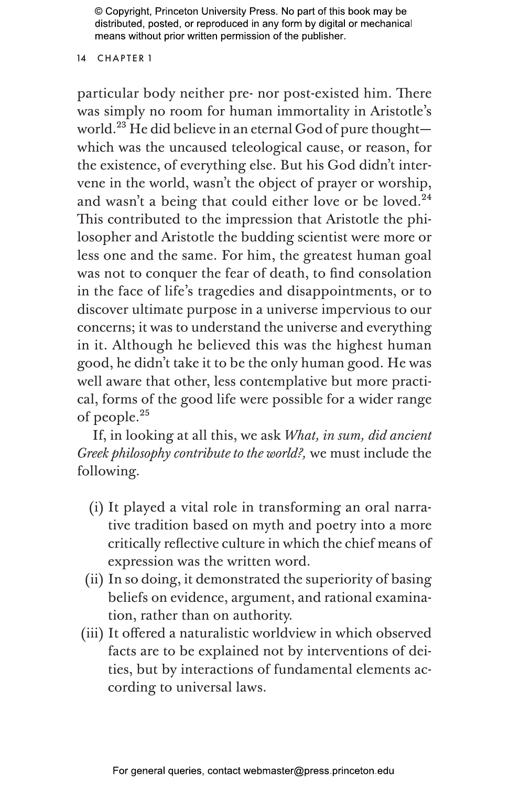14 Chapter 1

particular body neither pre- nor post-existed him. There was simply no room for human immortality in Aristotle's world.<sup>23</sup> He did believe in an eternal God of pure thought which was the uncaused teleological cause, or reason, for the existence, of everything else. But his God didn't intervene in the world, wasn't the object of prayer or worship, and wasn't a being that could either love or be loved.<sup>24</sup> This contributed to the impression that Aristotle the philosopher and Aristotle the budding scientist were more or less one and the same. For him, the greatest human goal was not to conquer the fear of death, to find consolation in the face of life's tragedies and disappointments, or to discover ultimate purpose in a universe impervious to our concerns; it was to understand the universe and everything in it. Although he believed this was the highest human good, he didn't take it to be the only human good. He was well aware that other, less contemplative but more practical, forms of the good life were possible for a wider range of people.25

If, in looking at all this, we ask *What, in sum, did ancient Greek philosophy contribute to the world?,* we must include the following.

- (i) It played a vital role in transforming an oral narrative tradition based on myth and poetry into a more critically reflective culture in which the chief means of expression was the written word.
- (ii) In so doing, it demonstrated the superiority of basing beliefs on evidence, argument, and rational examination, rather than on authority.
- (iii) It offered a naturalistic worldview in which observed facts are to be explained not by interventions of deities, but by interactions of fundamental elements according to universal laws.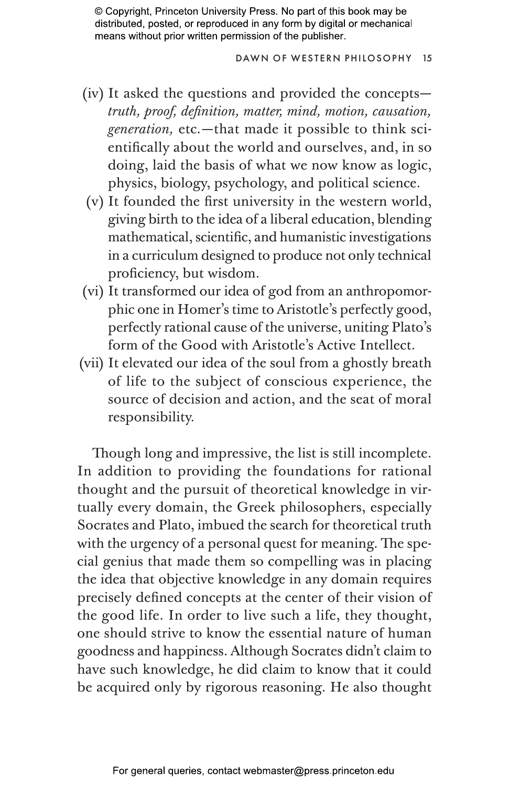## Dawn of Western Philosophy 15

- (iv) It asked the questions and provided the concepts *truth, proof, definition, matter, mind, motion, causation, generation,* etc*.*—that made it possible to think scientifically about the world and ourselves, and, in so doing, laid the basis of what we now know as logic, physics, biology, psychology, and political science.
- (v) It founded the first university in the western world, giving birth to the idea of a liberal education, blending mathematical, scientific, and humanistic investigations in a curriculum designed to produce not only technical proficiency, but wisdom.
- (vi) It transformed our idea of god from an anthropomorphic one in Homer's time to Aristotle's perfectly good, perfectly rational cause of the universe, uniting Plato's form of the Good with Aristotle's Active Intellect.
- (vii) It elevated our idea of the soul from a ghostly breath of life to the subject of conscious experience, the source of decision and action, and the seat of moral responsibility.

Though long and impressive, the list is still incomplete. In addition to providing the foundations for rational thought and the pursuit of theoretical knowledge in virtually every domain, the Greek philosophers, especially Socrates and Plato, imbued the search for theoretical truth with the urgency of a personal quest for meaning. The special genius that made them so compelling was in placing the idea that objective knowledge in any domain requires precisely defined concepts at the center of their vision of the good life. In order to live such a life, they thought, one should strive to know the essential nature of human goodness and happiness. Although Socrates didn't claim to have such knowledge, he did claim to know that it could be acquired only by rigorous reasoning. He also thought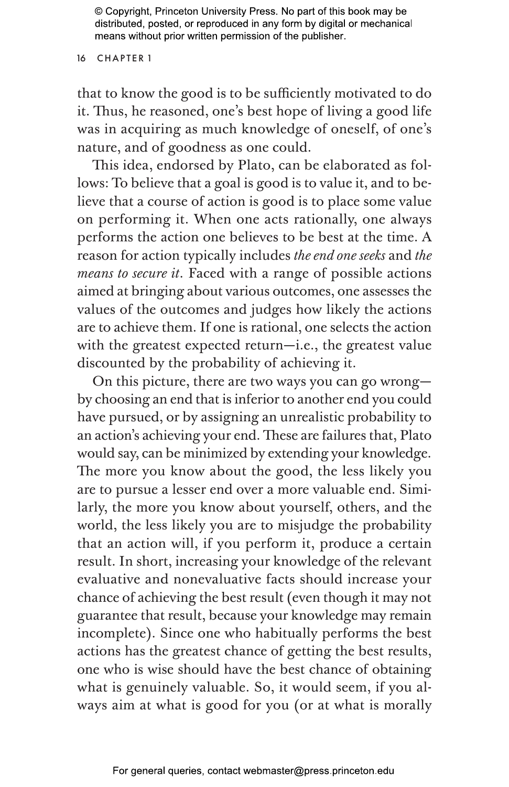#### 16 Chapter 1

that to know the good is to be sufficiently motivated to do it. Thus, he reasoned, one's best hope of living a good life was in acquiring as much knowledge of oneself, of one's nature, and of goodness as one could.

This idea, endorsed by Plato, can be elaborated as follows: To believe that a goal is good is to value it, and to believe that a course of action is good is to place some value on performing it. When one acts rationally, one always performs the action one believes to be best at the time. A reason for action typically includes *the end one seeks* and *the means to secure it*. Faced with a range of possible actions aimed at bringing about various outcomes, one assesses the values of the outcomes and judges how likely the actions are to achieve them. If one is rational, one selects the action with the greatest expected return—i.e., the greatest value discounted by the probability of achieving it.

On this picture, there are two ways you can go wrong by choosing an end that is inferior to another end you could have pursued, or by assigning an unrealistic probability to an action's achieving your end. These are failures that, Plato would say, can be minimized by extending your knowledge. The more you know about the good, the less likely you are to pursue a lesser end over a more valuable end. Similarly, the more you know about yourself, others, and the world, the less likely you are to misjudge the probability that an action will, if you perform it, produce a certain result. In short, increasing your knowledge of the relevant evaluative and nonevaluative facts should increase your chance of achieving the best result (even though it may not guarantee that result, because your knowledge may remain incomplete). Since one who habitually performs the best actions has the greatest chance of getting the best results, one who is wise should have the best chance of obtaining what is genuinely valuable. So, it would seem, if you always aim at what is good for you (or at what is morally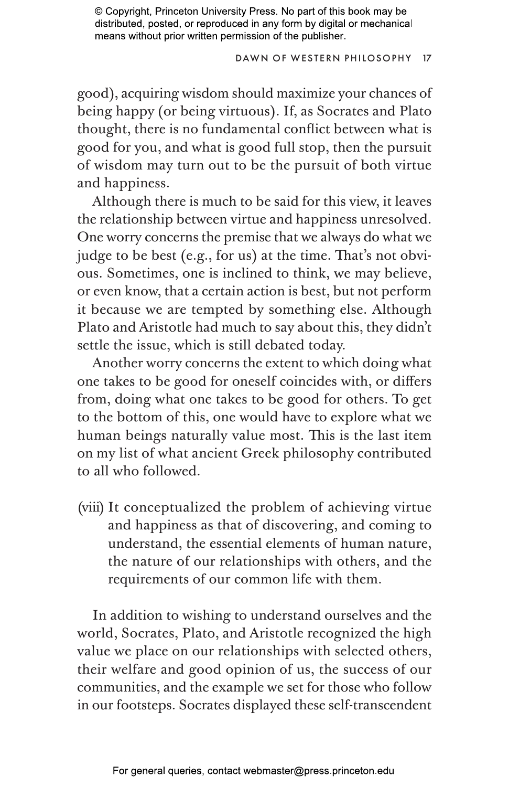## Dawn of Western Philosophy 17

good), acquiring wisdom should maximize your chances of being happy (or being virtuous). If, as Socrates and Plato thought, there is no fundamental conflict between what is good for you, and what is good full stop, then the pursuit of wisdom may turn out to be the pursuit of both virtue and happiness.

Although there is much to be said for this view, it leaves the relationship between virtue and happiness unresolved. One worry concerns the premise that we always do what we judge to be best (e.g., for us) at the time. That's not obvious. Sometimes, one is inclined to think, we may believe, or even know, that a certain action is best, but not perform it because we are tempted by something else. Although Plato and Aristotle had much to say about this, they didn't settle the issue, which is still debated today.

Another worry concerns the extent to which doing what one takes to be good for oneself coincides with, or differs from, doing what one takes to be good for others. To get to the bottom of this, one would have to explore what we human beings naturally value most. This is the last item on my list of what ancient Greek philosophy contributed to all who followed.

(viii) It conceptualized the problem of achieving virtue and happiness as that of discovering, and coming to understand, the essential elements of human nature, the nature of our relationships with others, and the requirements of our common life with them.

In addition to wishing to understand ourselves and the world, Socrates, Plato, and Aristotle recognized the high value we place on our relationships with selected others, their welfare and good opinion of us, the success of our communities, and the example we set for those who follow in our footsteps. Socrates displayed these self-transcendent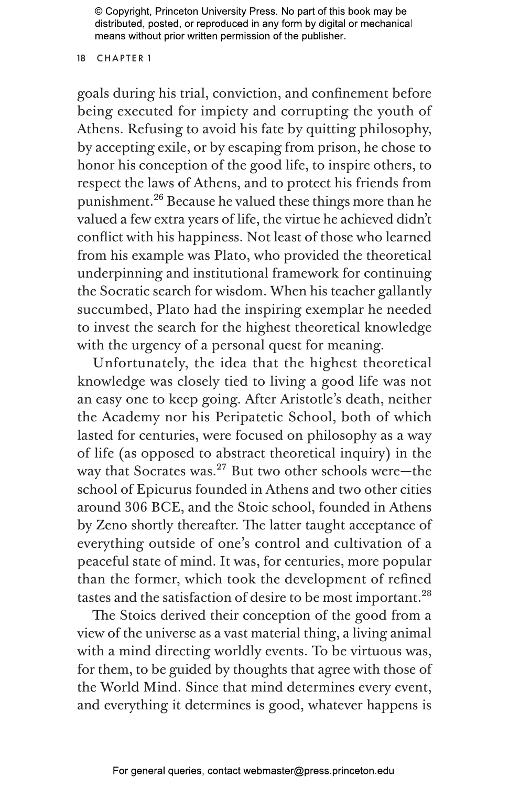#### 18 Chapter 1

goals during his trial, conviction, and confinement before being executed for impiety and corrupting the youth of Athens. Refusing to avoid his fate by quitting philosophy, by accepting exile, or by escaping from prison, he chose to honor his conception of the good life, to inspire others, to respect the laws of Athens, and to protect his friends from punishment.26 Because he valued these things more than he valued a few extra years of life, the virtue he achieved didn't conflict with his happiness. Not least of those who learned from his example was Plato, who provided the theoretical underpinning and institutional framework for continuing the Socratic search for wisdom. When his teacher gallantly succumbed, Plato had the inspiring exemplar he needed to invest the search for the highest theoretical knowledge with the urgency of a personal quest for meaning.

Unfortunately, the idea that the highest theoretical knowledge was closely tied to living a good life was not an easy one to keep going. After Aristotle's death, neither the Academy nor his Peripatetic School, both of which lasted for centuries, were focused on philosophy as a way of life (as opposed to abstract theoretical inquiry) in the way that Socrates was.27 But two other schools were—the school of Epicurus founded in Athens and two other cities around 306 BCE, and the Stoic school, founded in Athens by Zeno shortly thereafter. The latter taught acceptance of everything outside of one's control and cultivation of a peaceful state of mind. It was, for centuries, more popular than the former, which took the development of refined tastes and the satisfaction of desire to be most important. $^{28}$ 

The Stoics derived their conception of the good from a view of the universe as a vast material thing, a living animal with a mind directing worldly events. To be virtuous was, for them, to be guided by thoughts that agree with those of the World Mind. Since that mind determines every event, and everything it determines is good, whatever happens is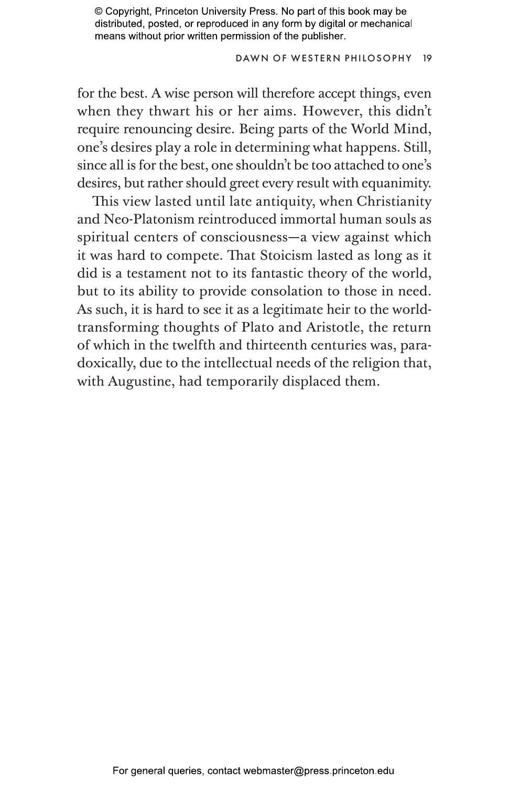### Dawn of Western Philosophy 19

for the best. A wise person will therefore accept things, even when they thwart his or her aims. However, this didn't require renouncing desire. Being parts of the World Mind, one's desires play a role in determining what happens. Still, since all is for the best, one shouldn't be too attached to one's desires, but rather should greet every result with equanimity.

This view lasted until late antiquity, when Christianity and Neo-Platonism reintroduced immortal human souls as spiritual centers of consciousness—a view against which it was hard to compete. That Stoicism lasted as long as it did is a testament not to its fantastic theory of the world, but to its ability to provide consolation to those in need. As such, it is hard to see it as a legitimate heir to the worldtransforming thoughts of Plato and Aristotle, the return of which in the twelfth and thirteenth centuries was, paradoxically, due to the intellectual needs of the religion that, with Augustine, had temporarily displaced them.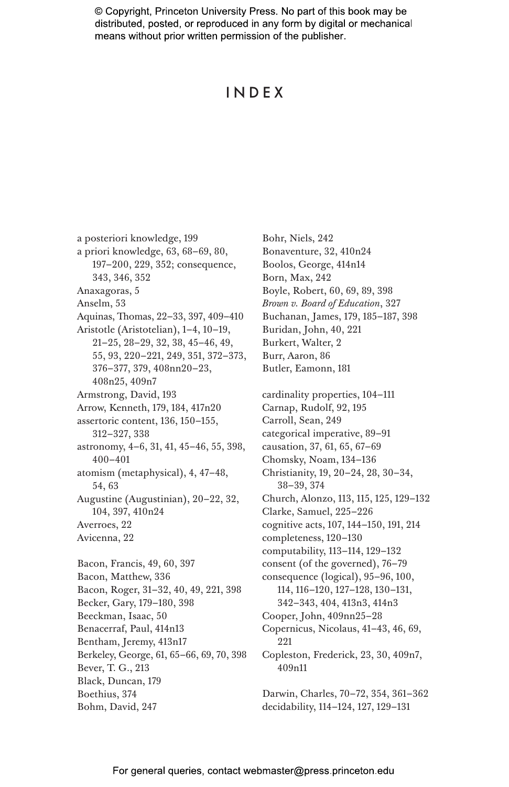# INDEX

a posteriori knowledge, 199 a priori knowledge, 63, 68–69, 80, 197–200, 229, 352; consequence, 343, 346, 352 Anaxagoras, 5 Anselm, 53 Aquinas, Thomas, 22–33, 397, 409–410 Aristotle (Aristotelian), 1–4, 10–19, 21–25, 28–29, 32, 38, 45–46, 49, 55, 93, 220–221, 249, 351, 372–373, 376–377, 379, 408nn20–23, 408n25, 409n7 Armstrong, David, 193 Arrow, Kenneth, 179, 184, 417n20 assertoric content, 136, 150–155, 312–327, 338 astronomy, 4–6, 31, 41, 45–46, 55, 398, 400–401 atomism (metaphysical), 4, 47–48, 54, 63 Augustine (Augustinian), 20–22, 32, 104, 397, 410n24 Averroes, 22 Avicenna, 22 Bacon, Francis, 49, 60, 397 Bacon, Matthew, 336 Bacon, Roger, 31–32, 40, 49, 221, 398 Becker, Gary, 179–180, 398 Beeckman, Isaac, 50 Benacerraf, Paul, 414n13 Bentham, Jeremy, 413n17 Berkeley, George, 61, 65–66, 69, 70, 398 Bever, T. G., 213 Black, Duncan, 179 Boethius, 374 Bohm, David, 247

Bohr, Niels, 242 Bonaventure, 32, 410n24 Boolos, George, 414n14 Born, Max, 242 Boyle, Robert, 60, 69, 89, 398 *Brown v. Board of Education*, 327 Buchanan, James, 179, 185–187, 398 Buridan, John, 40, 221 Burkert, Walter, 2 Burr, Aaron, 86 Butler, Eamonn, 181 cardinality properties, 104–111 Carnap, Rudolf, 92, 195 Carroll, Sean, 249 categorical imperative, 89–91 causation, 37, 61, 65, 67–69 Chomsky, Noam, 134–136 Christianity, 19, 20–24, 28, 30–34, 38–39, 374 Church, Alonzo, 113, 115, 125, 129–132 Clarke, Samuel, 225–226 cognitive acts, 107, 144–150, 191, 214 completeness, 120–130 computability, 113–114, 129–132 consent (of the governed), 76–79 consequence (logical), 95–96, 100, 114, 116–120, 127–128, 130–131, 342–343, 404, 413n3, 414n3 Cooper, John, 409nn25–28 Copernicus, Nicolaus, 41–43, 46, 69, 221 Copleston, Frederick, 23, 30, 409n7, 409n11 Darwin, Charles, 70–72, 354, 361–362

decidability, 114–124, 127, 129–131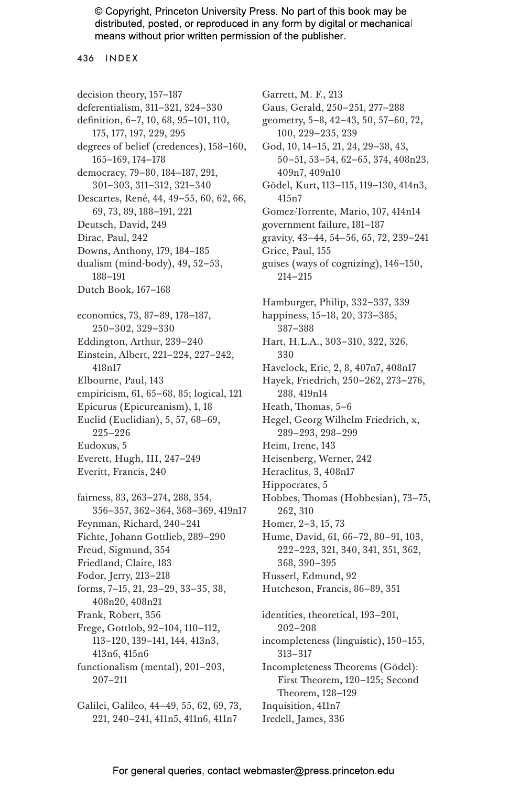#### 436 Index

decision theory, 157–187 deferentialism, 311–321, 324–330 definition, 6–7, 10, 68, 95–101, 110, 175, 177, 197, 229, 295 degrees of belief (credences), 158–160, 165–169, 174–178 democracy, 79–80, 184–187, 291, 301–303, 311–312, 321–340 Descartes, René, 44, 49–55, 60, 62, 66, 69, 73, 89, 188–191, 221 Deutsch, David, 249 Dirac, Paul, 242 Downs, Anthony, 179, 184–185 dualism (mind-body), 49, 52–53, 188–191 Dutch Book, 167–168 economics, 73, 87–89, 178–187, 250–302, 329–330 Eddington, Arthur, 239–240 Einstein, Albert, 221–224, 227–242, 418n17 Elbourne, Paul, 143 empiricism, 61, 65–68, 85; logical, 121 Epicurus (Epicureanism), 1, 18 Euclid (Euclidian), 5, 57, 68–69, 225–226 Eudoxus, 5 Everett, Hugh, III, 247–249 Everitt, Francis, 240 fairness, 83, 263–274, 288, 354, 356–357, 362–364, 368–369, 419n17 Feynman, Richard, 240–241 Fichte, Johann Gottlieb, 289–290 Freud, Sigmund, 354 Friedland, Claire, 183 Fodor, Jerry, 213–218 forms, 7–15, 21, 23–29, 33–35, 38, 408n20, 408n21 Frank, Robert, 356 Frege, Gottlob, 92–104, 110–112, 113–120, 139–141, 144, 413n3, 413n6, 415n6 functionalism (mental), 201–203, 207–211 Galilei, Galileo, 44–49, 55, 62, 69, 73,

221, 240–241, 411n5, 411n6, 411n7

Garrett, M. F., 213 Gaus, Gerald, 250–251, 277–288 geometry, 5–8, 42–43, 50, 57–60, 72, 100, 229–235, 239 God, 10, 14–15, 21, 24, 29–38, 43, 50–51, 53–54, 62–65, 374, 408n23, 409n7, 409n10 Gödel, Kurt, 113–115, 119–130, 414n3, 415n7 Gomez-Torrente, Mario, 107, 414n14 government failure, 181–187 gravity, 43–44, 54–56, 65, 72, 239–241 Grice, Paul, 155 guises (ways of cognizing), 146–150, 214–215 Hamburger, Philip, 332–337, 339 happiness, 15–18, 20, 373–385, 387–388 Hart, H.L.A., 303–310, 322, 326, 330 Havelock, Eric, 2, 8, 407n7, 408n17 Hayek, Friedrich, 250–262, 273–276, 288, 419n14 Heath, Thomas, 5–6 Hegel, Georg Wilhelm Friedrich, x, 289–293, 298–299 Heim, Irene, 143 Heisenberg, Werner, 242 Heraclitus, 3, 408n17 Hippocrates, 5 Hobbes, Thomas (Hobbesian), 73–75, 262, 310 Homer, 2–3, 15, 73 Hume, David, 61, 66–72, 80–91, 103, 222–223, 321, 340, 341, 351, 362, 368, 390–395 Husserl, Edmund, 92 Hutcheson, Francis, 86–89, 351 identities, theoretical, 193–201, 202–208 incompleteness (linguistic), 150–155, 313–317 Incompleteness Theorems (Gödel): First Theorem, 120–125; Second Theorem, 128–129 Inquisition, 411n7 Iredell, James, 336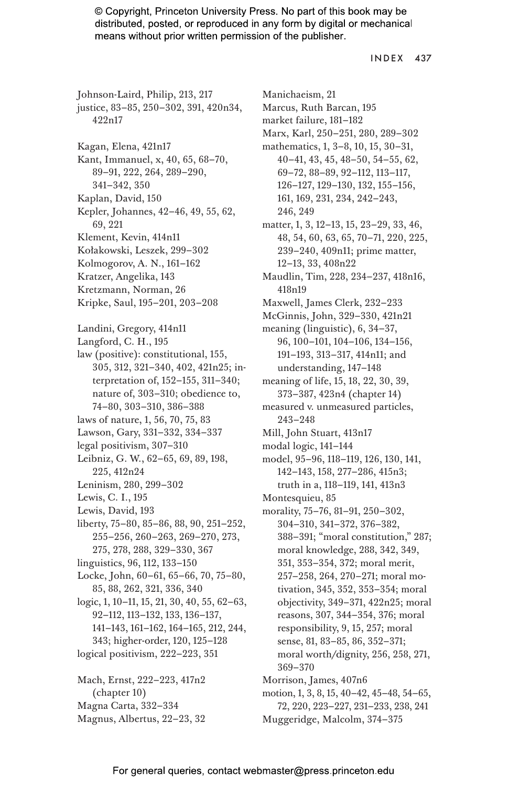#### Index 437

- Johnson-Laird, Philip, 213, 217 justice, 83–85, 250–302, 391, 420n34, 422n17
- Kagan, Elena, 421n17
- Kant, Immanuel, x, 40, 65, 68–70, 89–91, 222, 264, 289–290, 341–342, 350
- Kaplan, David, 150
- Kepler, Johannes, 42–46, 49, 55, 62, 69, 221
- Klement, Kevin, 414n11
- Kołakowski, Leszek, 299–302
- Kolmogorov, A. N., 161–162
- Kratzer, Angelika, 143
- Kretzmann, Norman, 26
- Kripke, Saul, 195–201, 203–208
- Landini, Gregory, 414n11
- Langford, C. H., 195
- law (positive): constitutional, 155, 305, 312, 321–340, 402, 421n25; interpretation of, 152–155, 311–340; nature of, 303–310; obedience to, 74–80, 303–310, 386–388
- laws of nature, 1, 56, 70, 75, 83
- Lawson, Gary, 331–332, 334–337
- legal positivism, 307–310
- Leibniz, G. W., 62–65, 69, 89, 198, 225, 412n24
- Leninism, 280, 299–302
- Lewis, C. I., 195
- Lewis, David, 193
- liberty, 75–80, 85–86, 88, 90, 251–252, 255–256, 260–263, 269–270, 273, 275, 278, 288, 329–330, 367
- linguistics, 96, 112, 133–150
- Locke, John, 60–61, 65–66, 70, 75–80, 85, 88, 262, 321, 336, 340
- logic, 1, 10–11, 15, 21, 30, 40, 55, 62–63, 92–112, 113–132, 133, 136–137, 141–143, 161–162, 164–165, 212, 244, 343; higher-order, 120, 125–128
- logical positivism, 222–223, 351

Mach, Ernst, 222–223, 417n2 (chapter 10) Magna Carta, 332–334 Magnus, Albertus, 22–23, 32 Manichaeism, 21 Marcus, Ruth Barcan, 195 market failure, 181–182 Marx, Karl, 250–251, 280, 289–302 mathematics, 1, 3–8, 10, 15, 30–31, 40–41, 43, 45, 48–50, 54–55, 62, 69–72, 88–89, 92–112, 113–117, 126–127, 129–130, 132, 155–156, 161, 169, 231, 234, 242–243, 246, 249 matter, 1, 3, 12–13, 15, 23–29, 33, 46, 48, 54, 60, 63, 65, 70–71, 220, 225, 239–240, 409n11; prime matter, 12–13, 33, 408n22 Maudlin, Tim, 228, 234–237, 418n16, 418n19 Maxwell, James Clerk, 232–233 McGinnis, John, 329–330, 421n21 meaning (linguistic), 6, 34–37, 96, 100–101, 104–106, 134–156, 191–193, 313–317, 414n11; and understanding, 147–148 meaning of life, 15, 18, 22, 30, 39, 373–387, 423n4 (chapter 14) measured v. unmeasured particles, 243–248 Mill, John Stuart, 413n17 modal logic, 141–144 model, 95–96, 118–119, 126, 130, 141, 142–143, 158, 277–286, 415n3; truth in a, 118–119, 141, 413n3 Montesquieu, 85 morality, 75–76, 81–91, 250–302, 304–310, 341–372, 376–382, 388–391; "moral constitution," 287; moral knowledge, 288, 342, 349, 351, 353–354, 372; moral merit, 257–258, 264, 270–271; moral motivation, 345, 352, 353–354; moral objectivity, 349–371, 422n25; moral reasons, 307, 344–354, 376; moral responsibility, 9, 15, 257; moral sense, 81, 83–85, 86, 352–371; moral worth/dignity, 256, 258, 271, 369–370 Morrison, James, 407n6 motion, 1, 3, 8, 15, 40–42, 45–48, 54–65,

72, 220, 223–227, 231–233, 238, 241 Muggeridge, Malcolm, 374–375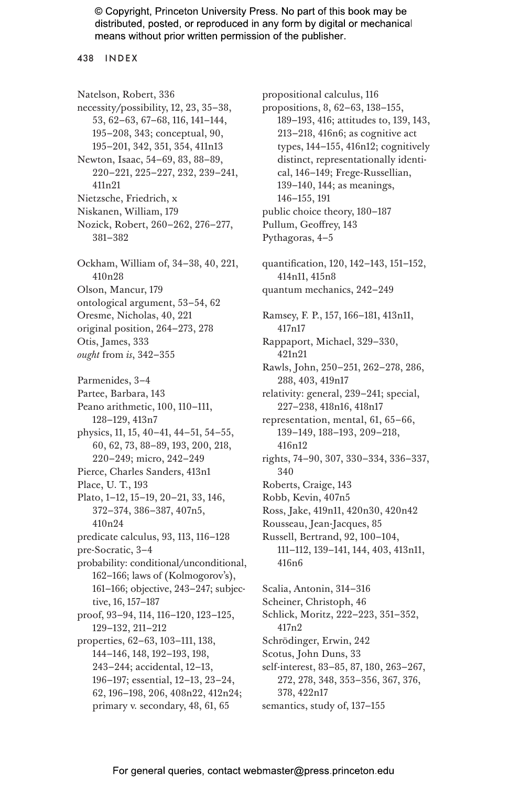#### 438 Index

Natelson, Robert, 336 necessity/possibility, 12, 23, 35–38, 53, 62–63, 67–68, 116, 141–144, 195–208, 343; conceptual, 90, 195–201, 342, 351, 354, 411n13 Newton, Isaac, 54–69, 83, 88–89, 220–221, 225–227, 232, 239–241, 411n21 Nietzsche, Friedrich, x Niskanen, William, 179 Nozick, Robert, 260–262, 276–277, 381–382 Ockham, William of, 34–38, 40, 221, 410n28 Olson, Mancur, 179 ontological argument, 53–54, 62 Oresme, Nicholas, 40, 221 original position, 264–273, 278 Otis, James, 333 *ought* from *is*, 342–355 Parmenides, 3–4 Partee, Barbara, 143 Peano arithmetic, 100, 110–111, 128–129, 413n7 physics, 11, 15, 40–41, 44–51, 54–55, 60, 62, 73, 88–89, 193, 200, 218, 220–249; micro, 242–249 Pierce, Charles Sanders, 413n1 Place, U. T., 193 Plato, 1–12, 15–19, 20–21, 33, 146, 372–374, 386–387, 407n5, 410n24 predicate calculus, 93, 113, 116–128 pre-Socratic, 3–4 probability: conditional/unconditional, 162–166; laws of (Kolmogorov's), 161–166; objective, 243–247; subjective, 16, 157–187 proof, 93–94, 114, 116–120, 123–125, 129–132, 211–212 properties, 62–63, 103–111, 138, 144–146, 148, 192–193, 198, 243–244; accidental, 12–13, 196–197; essential, 12–13, 23–24, 62, 196–198, 206, 408n22, 412n24; primary v. secondary, 48, 61, 65

propositional calculus, 116 propositions, 8, 62–63, 138–155, 189–193, 416; attitudes to, 139, 143, 213–218, 416n6; as cognitive act types, 144–155, 416n12; cognitively distinct, representationally identical, 146–149; Frege-Russellian, 139–140, 144; as meanings, 146–155, 191 public choice theory, 180–187 Pullum, Geoffrey, 143 Pythagoras, 4–5 quantification, 120, 142–143, 151–152, 414n11, 415n8 quantum mechanics, 242–249 Ramsey, F. P., 157, 166–181, 413n11, 417n17 Rappaport, Michael, 329–330, 421n21 Rawls, John, 250–251, 262–278, 286, 288, 403, 419n17 relativity: general, 239–241; special, 227–238, 418n16, 418n17 representation, mental, 61, 65–66, 139–149, 188–193, 209–218, 416n12 rights, 74–90, 307, 330–334, 336–337, 340 Roberts, Craige, 143 Robb, Kevin, 407n5 Ross, Jake, 419n11, 420n30, 420n42 Rousseau, Jean-Jacques, 85 Russell, Bertrand, 92, 100–104, 111–112, 139–141, 144, 403, 413n11, 416n6 Scalia, Antonin, 314–316 Scheiner, Christoph, 46 Schlick, Moritz, 222–223, 351–352, 417n2 Schrödinger, Erwin, 242 Scotus, John Duns, 33

self-interest, 83–85, 87, 180, 263–267, 272, 278, 348, 353–356, 367, 376, 378, 422n17 semantics, study of, 137–155